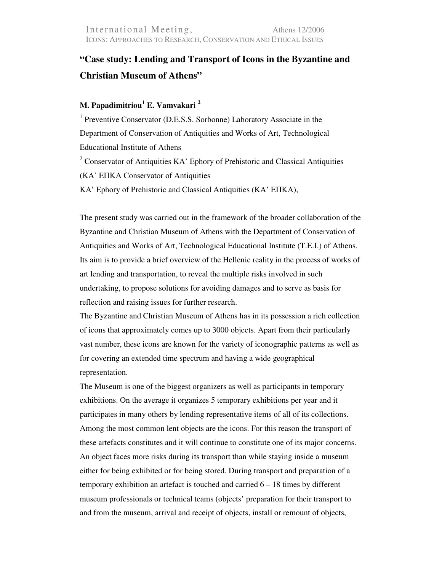## **"Case study: Lending and Transport of Icons in the Byzantine and Christian Museum of Athens"**

## **M. Papadimitriou<sup>1</sup> E. Vamvakari <sup>2</sup>**

<sup>1</sup> Preventive Conservator (D.E.S.S. Sorbonne) Laboratory Associate in the Department of Conservation of Antiquities and Works of Art, Technological Educational Institute of Athens <sup>2</sup> Conservator of Antiquities  $KA'$  Ephory of Prehistoric and Classical Antiquities (KA' EΠΚΑ Conservator of Antiquities KA' Ephory of Prehistoric and Classical Antiquities (KA' EΠΚΑ),

The present study was carried out in the framework of the broader collaboration of the Byzantine and Christian Museum of Athens with the Department of Conservation of Antiquities and Works of Art, Technological Educational Institute (T.E.I.) of Athens. Its aim is to provide a brief overview of the Hellenic reality in the process of works of art lending and transportation, to reveal the multiple risks involved in such undertaking, to propose solutions for avoiding damages and to serve as basis for reflection and raising issues for further research.

The Byzantine and Christian Museum of Athens has in its possession a rich collection of icons that approximately comes up to 3000 objects. Apart from their particularly vast number, these icons are known for the variety of iconographic patterns as well as for covering an extended time spectrum and having a wide geographical representation.

The Museum is one of the biggest organizers as well as participants in temporary exhibitions. On the average it organizes 5 temporary exhibitions per year and it participates in many others by lending representative items of all of its collections. Among the most common lent objects are the icons. For this reason the transport of these artefacts constitutes and it will continue to constitute one of its major concerns. An object faces more risks during its transport than while staying inside a museum either for being exhibited or for being stored. During transport and preparation of a temporary exhibition an artefact is touched and carried 6 – 18 times by different museum professionals or technical teams (objects' preparation for their transport to and from the museum, arrival and receipt of objects, install or remount of objects,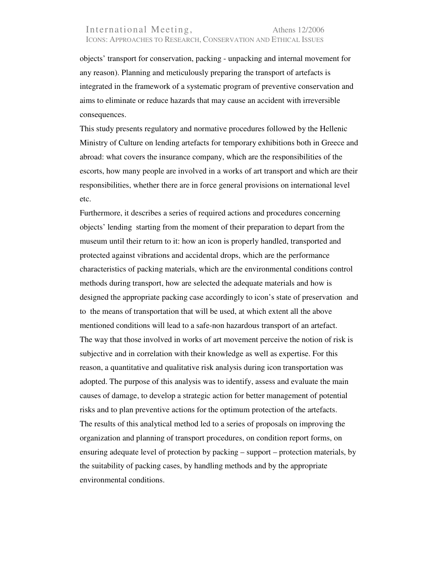## International Meeting, Athens 12/2006 ICONS: APPROACHES TO RESEARCH, CONSERVATION AND ETHICAL ISSUES

objects' transport for conservation, packing - unpacking and internal movement for any reason). Planning and meticulously preparing the transport of artefacts is integrated in the framework of a systematic program of preventive conservation and aims to eliminate or reduce hazards that may cause an accident with irreversible consequences.

This study presents regulatory and normative procedures followed by the Hellenic Ministry of Culture on lending artefacts for temporary exhibitions both in Greece and abroad: what covers the insurance company, which are the responsibilities of the escorts, how many people are involved in a works of art transport and which are their responsibilities, whether there are in force general provisions on international level etc.

Furthermore, it describes a series of required actions and procedures concerning objects' lending starting from the moment of their preparation to depart from the museum until their return to it: how an icon is properly handled, transported and protected against vibrations and accidental drops, which are the performance characteristics of packing materials, which are the environmental conditions control methods during transport, how are selected the adequate materials and how is designed the appropriate packing case accordingly to icon's state of preservation and to the means of transportation that will be used, at which extent all the above mentioned conditions will lead to a safe-non hazardous transport of an artefact. The way that those involved in works of art movement perceive the notion of risk is subjective and in correlation with their knowledge as well as expertise. For this reason, a quantitative and qualitative risk analysis during icon transportation was adopted. The purpose of this analysis was to identify, assess and evaluate the main causes of damage, to develop a strategic action for better management of potential risks and to plan preventive actions for the optimum protection of the artefacts. The results of this analytical method led to a series of proposals on improving the organization and planning of transport procedures, on condition report forms, on ensuring adequate level of protection by packing – support – protection materials, by the suitability of packing cases, by handling methods and by the appropriate environmental conditions.